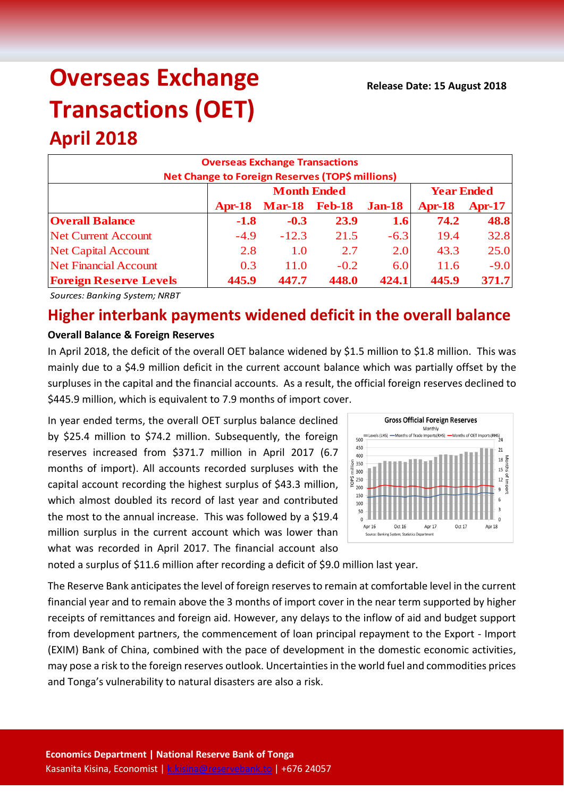# **Overseas Exchange Transactions (OET)**

## **April 2018**

| <b>Overseas Exchange Transactions</b><br>Net Change to Foreign Reserves (TOP\$ millions) |                                         |               |               |               |               |          |  |
|------------------------------------------------------------------------------------------|-----------------------------------------|---------------|---------------|---------------|---------------|----------|--|
|                                                                                          | <b>Month Ended</b><br><b>Year Ended</b> |               |               |               |               |          |  |
|                                                                                          | <b>Apr-18</b>                           | <b>Mar-18</b> | <b>Feb-18</b> | <b>Jan-18</b> | <b>Apr-18</b> | $Apr-17$ |  |
| <b>Overall Balance</b>                                                                   | $-1.8$                                  | $-0.3$        | 23.9          | 1.6           | 74.2          | 48.8     |  |
| <b>Net Current Account</b>                                                               | $-4.9$                                  | $-12.3$       | 21.5          | $-6.3$        | 19.4          | 32.8     |  |
| <b>Net Capital Account</b>                                                               | 2.8                                     | 1.0           | 2.7           | 2.0           | 43.3          | 25.0     |  |
| <b>Net Financial Account</b>                                                             | 0.3                                     | 11.0          | $-0.2$        | 6.0           | 11.6          | $-9.0$   |  |
| <b>Foreign Reserve Levels</b>                                                            | 445.9                                   | 447.7         | 448.0         | 424.1         | 445.9         | 371.7    |  |

*Sources: Banking System; NRBT*

### **Higher interbank payments widened deficit in the overall balance**

#### **Overall Balance & Foreign Reserves**

In April 2018, the deficit of the overall OET balance widened by \$1.5 million to \$1.8 million. This was mainly due to a \$4.9 million deficit in the current account balance which was partially offset by the surpluses in the capital and the financial accounts. As a result, the official foreign reserves declined to \$445.9 million, which is equivalent to 7.9 months of import cover.

In year ended terms, the overall OET surplus balance declined by \$25.4 million to \$74.2 million. Subsequently, the foreign reserves increased from \$371.7 million in April 2017 (6.7 months of import). All accounts recorded surpluses with the capital account recording the highest surplus of \$43.3 million, which almost doubled its record of last year and contributed the most to the annual increase. This was followed by a \$19.4 million surplus in the current account which was lower than what was recorded in April 2017. The financial account also



noted a surplus of \$11.6 million after recording a deficit of \$9.0 million last year.

The Reserve Bank anticipates the level of foreign reserves to remain at comfortable level in the current financial year and to remain above the 3 months of import cover in the near term supported by higher receipts of remittances and foreign aid. However, any delays to the inflow of aid and budget support from development partners, the commencement of loan principal repayment to the Export - Import (EXIM) Bank of China, combined with the pace of development in the domestic economic activities, may pose a risk to the foreign reserves outlook. Uncertainties in the world fuel and commodities prices and Tonga's vulnerability to natural disasters are also a risk.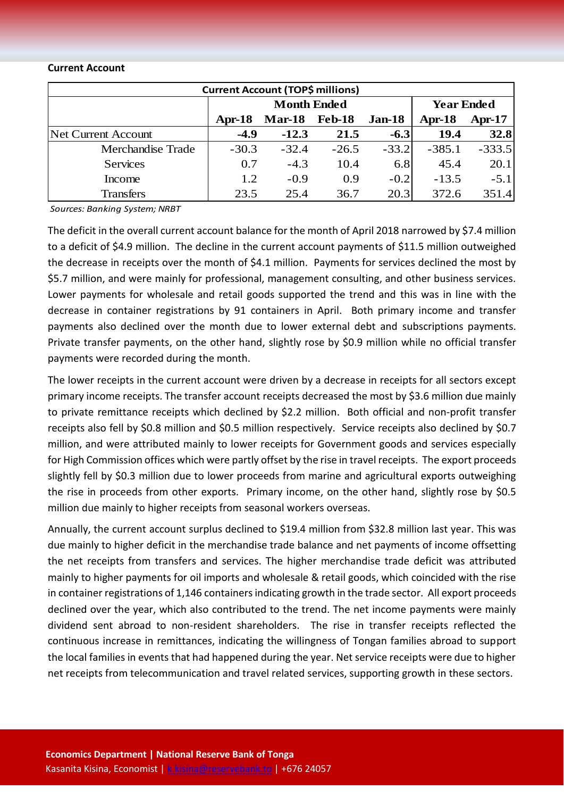#### **Current Account**

| <b>Current Account (TOP\$ millions)</b> |                    |               |               |         |                   |          |  |  |
|-----------------------------------------|--------------------|---------------|---------------|---------|-------------------|----------|--|--|
|                                         | <b>Month Ended</b> |               |               |         | <b>Year Ended</b> |          |  |  |
|                                         | $Apr-18$           | <b>Mar-18</b> | <b>Feb-18</b> | Jan-18  | Apr-18            | $Apr-17$ |  |  |
| Net Current Account                     | $-4.9$             | $-12.3$       | 21.5          | $-6.3$  | 19.4              | 32.8     |  |  |
| <b>Merchandise Trade</b>                | $-30.3$            | $-32.4$       | $-26.5$       | $-33.2$ | $-385.1$          | $-333.5$ |  |  |
| <b>Services</b>                         | 0.7                | $-4.3$        | 10.4          | 6.8     | 45.4              | 20.1     |  |  |
| Income                                  | 1.2                | $-0.9$        | 0.9           | $-0.2$  | $-13.5$           | $-5.1$   |  |  |
| <b>Transfers</b>                        | 23.5               | 25.4          | 36.7          | 20.3    | 372.6             | 351.4    |  |  |

*Sources: Banking System; NRBT*

The deficit in the overall current account balance for the month of April 2018 narrowed by \$7.4 million to a deficit of \$4.9 million. The decline in the current account payments of \$11.5 million outweighed the decrease in receipts over the month of \$4.1 million. Payments for services declined the most by \$5.7 million, and were mainly for professional, management consulting, and other business services. Lower payments for wholesale and retail goods supported the trend and this was in line with the decrease in container registrations by 91 containers in April. Both primary income and transfer payments also declined over the month due to lower external debt and subscriptions payments. Private transfer payments, on the other hand, slightly rose by \$0.9 million while no official transfer payments were recorded during the month.

The lower receipts in the current account were driven by a decrease in receipts for all sectors except primary income receipts. The transfer account receipts decreased the most by \$3.6 million due mainly to private remittance receipts which declined by \$2.2 million. Both official and non-profit transfer receipts also fell by \$0.8 million and \$0.5 million respectively. Service receipts also declined by \$0.7 million, and were attributed mainly to lower receipts for Government goods and services especially for High Commission offices which were partly offset by the rise in travel receipts. The export proceeds slightly fell by \$0.3 million due to lower proceeds from marine and agricultural exports outweighing the rise in proceeds from other exports. Primary income, on the other hand, slightly rose by \$0.5 million due mainly to higher receipts from seasonal workers overseas.

Annually, the current account surplus declined to \$19.4 million from \$32.8 million last year. This was due mainly to higher deficit in the merchandise trade balance and net payments of income offsetting the net receipts from transfers and services. The higher merchandise trade deficit was attributed mainly to higher payments for oil imports and wholesale & retail goods, which coincided with the rise in container registrations of 1,146 containers indicating growth in the trade sector. All export proceeds declined over the year, which also contributed to the trend. The net income payments were mainly dividend sent abroad to non-resident shareholders. The rise in transfer receipts reflected the continuous increase in remittances, indicating the willingness of Tongan families abroad to support the local families in events that had happened during the year. Net service receipts were due to higher net receipts from telecommunication and travel related services, supporting growth in these sectors.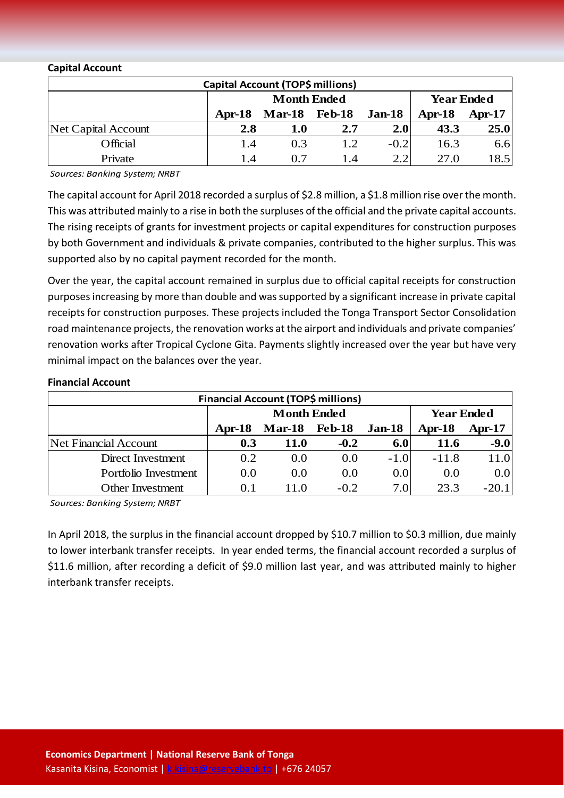#### **Capital Account**

| Capital Account (TOP\$ millions) |          |                      |                   |          |      |      |
|----------------------------------|----------|----------------------|-------------------|----------|------|------|
|                                  |          | <b>Month Ended</b>   | <b>Year Ended</b> |          |      |      |
|                                  | $Apr-18$ | <b>Mar-18</b> Feb-18 | Apr-18            | $Apr-17$ |      |      |
| <b>Net Capital Account</b>       | 2.8      | 1.0                  | 2.7               | 2.0      | 43.3 | 25.0 |
| Official                         | 1.4      | 0.3                  | 1.2.              | $-0.2$   | 16.3 | 6.6  |
| Private                          | 1.4      | 0.7                  | 1.4               |          | 27.0 | 18.5 |

*Sources: Banking System; NRBT*

The capital account for April 2018 recorded a surplus of \$2.8 million, a \$1.8 million rise over the month. This was attributed mainly to a rise in both the surpluses of the official and the private capital accounts. The rising receipts of grants for investment projects or capital expenditures for construction purposes by both Government and individuals & private companies, contributed to the higher surplus. This was supported also by no capital payment recorded for the month.

Over the year, the capital account remained in surplus due to official capital receipts for construction purposes increasing by more than double and was supported by a significant increase in private capital receipts for construction purposes. These projects included the Tonga Transport Sector Consolidation road maintenance projects, the renovation works at the airport and individuals and private companies' renovation works after Tropical Cyclone Gita. Payments slightly increased over the year but have very minimal impact on the balances over the year.

#### **Financial Account**

| <b>Financial Account (TOP\$ millions)</b> |                    |                      |        |        |                   |          |  |
|-------------------------------------------|--------------------|----------------------|--------|--------|-------------------|----------|--|
|                                           | <b>Month Ended</b> |                      |        |        | <b>Year Ended</b> |          |  |
|                                           | $Apr-18$           | <b>Mar-18</b> Feb-18 |        | Jan-18 | $Apr-18$          | $Apr-17$ |  |
| <b>Net Financial Account</b>              | 0.3                | <b>11.0</b>          | $-0.2$ | 6.0    | 11.6              | $-9.0$   |  |
| Direct Investment                         | 0.2                | 0.0                  | 0.0    | $-1.0$ | $-11.8$           | 11.0     |  |
| Portfolio Investment                      | 0.0                | 0.0                  | 0.0    | 0.0    | 0.0               | 0.0      |  |
| Other Investment                          | O. I               | 110                  | $-0.2$ | 7.0    | 23.3              | $-20.1$  |  |

*Sources: Banking System; NRBT*

In April 2018, the surplus in the financial account dropped by \$10.7 million to \$0.3 million, due mainly to lower interbank transfer receipts. In year ended terms, the financial account recorded a surplus of \$11.6 million, after recording a deficit of \$9.0 million last year, and was attributed mainly to higher interbank transfer receipts.